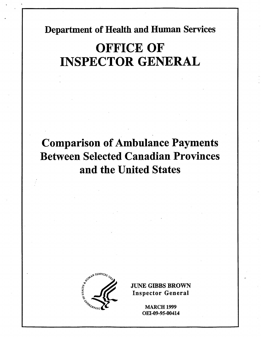Department of Health and Human Services

# **OFFICE OF** INSPECTOR GENERAL

## Comparison of Ambulance Payments Between Selected Canadian Provinces and the United States



**JUNE GIBBS BROWN** Inspector General

> **MARCH 1999** OEI-09-95-00414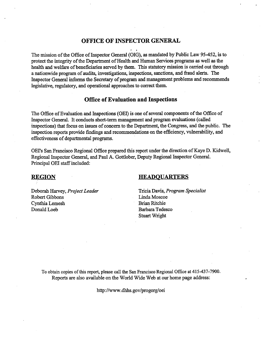### OFFICE OF INSPECTOR GENERA

The mission of the Office of Inspector General (OIG), as mandated by Public Law 95-452, is to protect the integrity of the Department of Health and Human Services programs as well as the health and welfare of beneficiaries served by them. This statutory mission is carried out through a nationwide program of audits, investigations, inpections, sanctions, and fraud alerts. The Inspector General informs the Secretary of program and management problems and recommends legislative, regulatory, and operational approaches to correct them.

### Office of Evaluation and Inspections

The Office of Evaluation and Inspections (OEI) is one of several components of the Office of Inspector General. It conducts short-term management and program evaluations (called inspections) that focus on issues of concern to the Department, the Congress, and the public. The inspection reports provide fidigs and recommendations on the effciency, vulnerabilty, and Inspector General. It conducts short-term manager<br>inspections) that focus on issues of concern to the<br>inspection reports provide findings and recommen-<br>effectiveness of departmental programs.

OEI's San Francisco Regional Office prepared this report under the direction of Kaye D. Kidwell, Regional Inspector General, and Paul A. Gottlober, Deputy Regional Inpector General. Principal OEI staff included:

### **REGION**

#### **HEADOUARTERS**

Deborah Harvey, Project Leader Tricia Davis, Program Specialist Robert Gibbons Linda Moscoe Cynthia Lemesh Brian Ritchie Donald Loeb Barbara Tedesco

Stuart Wright

To obtain copies of this report, please call the San Francisco Regional Office at 415-437-7900. Reports are also available on the World Wide Web at our home page address:

http://www.dhhs.gov/progorg/oei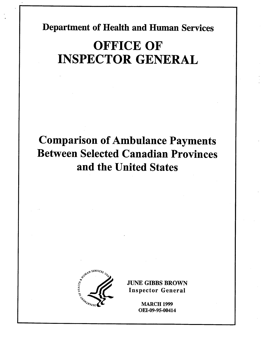Department of Health and Human Services

# OFFICE OF INSPECTOR GENERAL

## Comparison of Ambulance Payments Between Selected Canadian Provinces and the United States



**JUNE GIBBS BROWN** Inspector General

> **MARCH 1999** OEI-09-95-00414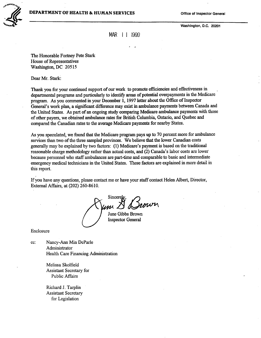

Washington, D.C. 20201

MAR | 1 1999

The Honorable Fortney Pete Stark House of Representatives Washigton, DC 20515

Dear Mr. Stark:

Thank you for your continued support of our work to promote efficiencies and effectiveness in departmental programs and particularly to identify areas of potential overpayments in the Medicare program. As you commented in your December 1, 1997 letter about the Office of Inspector General's work plan, a significant difference may exist in ambulance payments between Canada and the United States. As part of an ongoing study comparing Medicare ambulance payments with those of other payers, we obtained ambulance rates for British Columbia, Ontario, and Quebec and compared the Canadian rates to the average Medicare payments for nearby States.

As you speculated, we found that the Medicare program pays up to 70 percent more for ambulance services than two of the three sampled provinces. We believe that the lower Canadian costs generally may be explained by two factors: (1) Medicare's payment is based on the traditional reasonable charge methodology rather than actual costs, and (2) Canada's labor costs are lower because personnel who staff ambulances are part-time and comparable to basic and intermediate emergency medical technicians in the United States. These factors are explained in more detail in ths report.

If you have any questions, please contact me or have your staff contact Helen Albert, Director, External Afairs, at (202) 260-8610.

Sincerel

June Gibbs Brown Inspector General

Enclosure

cc: Nancy-Ann Min DeParle Administrator Health Care Financing Administration

> Melissa Skolfield Assistant Secretary for Public Affairs

Richard J. Tarplin Assistant Secretary for Legislation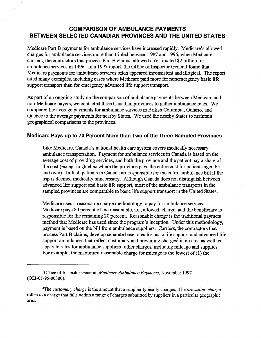### COMPARISON OF AMBULANCE PAYMENTS BETWEEN SELECTED CANADIAN PROVINCES AND THE UNITED STATES

Medicare Part B payments for ambulance services have increased rapidly. Medicare's allowed charges for ambulance services more than trpled between 1987 and 1996, when Medicare carriers, the contractors that process Part B claims, allowed an estimated \$2 billion for ambulance services in 1996. In a 1997 report, the Office of Inspector General found that Medicare payments for ambulance services often appeared inconsistent and illogical. The report cited many examples, including cases where Medicare paid more for nonemergency basic life support transport than for emergency advanced life support transport.<sup>1</sup>

As part of an ongoing study on the comparison of ambulance payments between Medicare and non-Medicare payers, we contacted three Canadian provinces to gather ambulance rates. We compared the average payments for ambulance services in British Columbia, Ontaro, and Quebec to the average payments for nearby States. We used the nearby States to maintai geographical comparisons to the provinces.

#### Medicare Pays up to 70 Percent More than Two of the Three Sampled Provinces

Like Medicare, Canada's national health care system covers medically necessary ambulance transportation. Payment for ambulance services in Canada is based on the average cost of providing services, and both the province and the patient pay a share of the cost (except in Quebec where the province pays the entire cost for patients aged 65 and over). In fact, patients in Canada are responsible for the entire ambulance bill if the trip is deemed medically unnecessary. Although Canada does not distinguish between advanced life support and basic life support, most of the ambulance transports in the sampled provinces are comparable to basic life support transport in the United States.

Medicare uses a reasonable charge methodology to pay for ambulance services. Medicare pays 80 percent of the reasonable, i.e., allowed, charge, and the beneficiary is responsible for the remaining 20 percent. Reasonable charge is the traditional payment method that Medicare has used since the program's inception. Under this methodology, payment is based on the bill from ambulance suppliers. Carriers, the contractors that process Part B claims, develop separate base rates for basic life support and advanced life support ambulances that reflect customary and prevailing charges<sup>2</sup> in an area as well as separate rates for ambulance suppliers' other charges, including mileage and supplies. For example, the maximum reasonable charge for mileage is the lowest of (1) the

Office of Inspector General, Medicare Ambulance Payments, November 1997 (OEI-05-95-00300).

<sup>&</sup>lt;sup>2</sup>The *customary charge* is the amount that a supplier typically charges. The *prevailing charge* refers to a charge that falls within a range of charges submitted by suppliers in a partcular geographic area.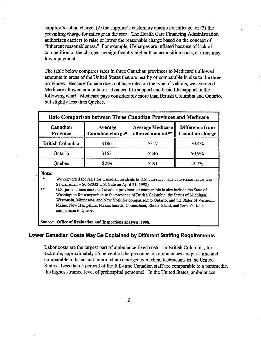supplier's actual charge,  $(2)$  the supplier's customary charge for mileage, or  $(3)$  the prevailing charge for mileage in the area. The Health Care Financing Administration authorizes carriers to raise or lower the reasonable charge based on the concept of "inherent reasonableness." For example, if charges are inflated because of lack of competition or the charges are significantly higher than acquisition costs, carriers may lower payment.

The table below compares rates in three Canadian provinces to Medicare's allowed amounts in areas of the United States that are nearby or comparable in size to the three provinces. Because Canada does not base rates on the type of vehicle, we averaged Medicare allowed amounts for advanced life support and basic life support in the following chart. Medicare pays considerably more than British Columbia and Ontario, but slightly less than Quebec.

| Rate Comparison between Three Canadian Provinces and Medicare |                             |                                             |                                           |
|---------------------------------------------------------------|-----------------------------|---------------------------------------------|-------------------------------------------|
| Canadian<br><b>Province</b>                                   | Average<br>Canadian charge* | <b>Average Medicare</b><br>allowed amount** | <b>Difference from</b><br>Canadian charge |
| <b>British Columbia</b>                                       | \$186                       | \$317                                       | 70.4%                                     |
| Ontario                                                       | \$163                       | \$246                                       | 50.9%                                     |
| Ouebec                                                        | \$299                       | \$291                                       | $-2.7%$                                   |

Note:

We converted the rates for Canadian residents to U.S. currency. The conversion factor was  $$1$  Canadian =  $$0.68032$  U.S. (rate on April 21, 1998)

U.S. jursdictions near the Canadian provinces or comparable in size include the State of Washington for comparison to the province of British Columbia; the States of Michigan, Wisconsin, Minnesota, and New York for comparison to Ontario; and the States of Vermont, Maine, New Hampshie, Massachusett, Connecticut, Rhode Island, and New York for comparison to Ouebec.

Source: Office of Evaluation and Inspections analysis, 1998.

### Lower Canadian Costs May Be Explained by Different Staffing Requirements

Labor costs are the largest part of ambulance fixed costs. In British Columbia, for example, approximately 55 percent of the personnel on ambulances are part-time and comparable to basic and intermediate emergency medical techncians in the United States. Less than 5 percent of the full-time Canadian staff are comparable to a paramedic the highest-trained level of prehospital personnel. In the United States, ambulances